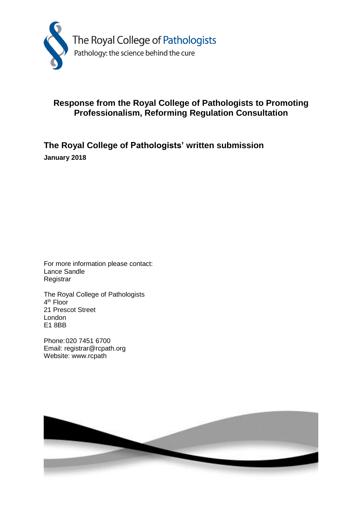

# **Response from the Royal College of Pathologists to Promoting Professionalism, Reforming Regulation Consultation**

**The Royal College of Pathologists' written submission January 2018**

For more information please contact: Lance Sandle **Registrar** 

The Royal College of Pathologists 4<sup>th</sup> Floor 21 Prescot Street London E1 8BB

Phone:020 7451 6700 Email: registrar@rcpath.org Website: www.rcpath

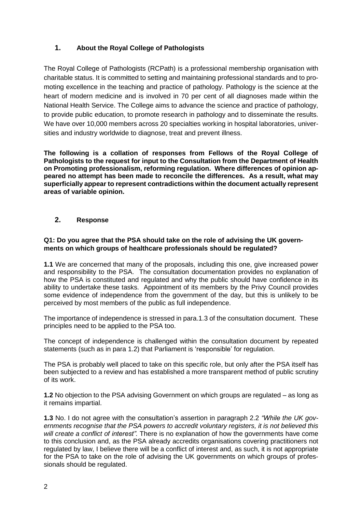## **1. About the Royal College of Pathologists**

The Royal College of Pathologists (RCPath) is a professional membership organisation with charitable status. It is committed to setting and maintaining professional standards and to promoting excellence in the teaching and practice of pathology. Pathology is the science at the heart of modern medicine and is involved in 70 per cent of all diagnoses made within the National Health Service. The College aims to advance the science and practice of pathology, to provide public education, to promote research in pathology and to disseminate the results. We have over 10,000 members across 20 specialties working in hospital laboratories, universities and industry worldwide to diagnose, treat and prevent illness.

**The following is a collation of responses from Fellows of the Royal College of Pathologists to the request for input to the Consultation from the Department of Health on Promoting professionalism, reforming regulation. Where differences of opinion appeared no attempt has been made to reconcile the differences. As a result, what may superficially appear to represent contradictions within the document actually represent areas of variable opinion.**

## **2. Response**

## **Q1: Do you agree that the PSA should take on the role of advising the UK governments on which groups of healthcare professionals should be regulated?**

**1.1** We are concerned that many of the proposals, including this one, give increased power and responsibility to the PSA. The consultation documentation provides no explanation of how the PSA is constituted and regulated and why the public should have confidence in its ability to undertake these tasks. Appointment of its members by the Privy Council provides some evidence of independence from the government of the day, but this is unlikely to be perceived by most members of the public as full independence.

The importance of independence is stressed in para.1.3 of the consultation document. These principles need to be applied to the PSA too.

The concept of independence is challenged within the consultation document by repeated statements (such as in para 1.2) that Parliament is 'responsible' for regulation.

The PSA is probably well placed to take on this specific role, but only after the PSA itself has been subjected to a review and has established a more transparent method of public scrutiny of its work.

**1.2** No objection to the PSA advising Government on which groups are regulated – as long as it remains impartial.

**1.3** No. I do not agree with the consultation's assertion in paragraph 2.2 *"While the UK governments recognise that the PSA powers to accredit voluntary registers, it is not believed this will create a conflict of interest".* There is no explanation of how the governments have come to this conclusion and, as the PSA already accredits organisations covering practitioners not regulated by law, I believe there will be a conflict of interest and, as such, it is not appropriate for the PSA to take on the role of advising the UK governments on which groups of professionals should be regulated.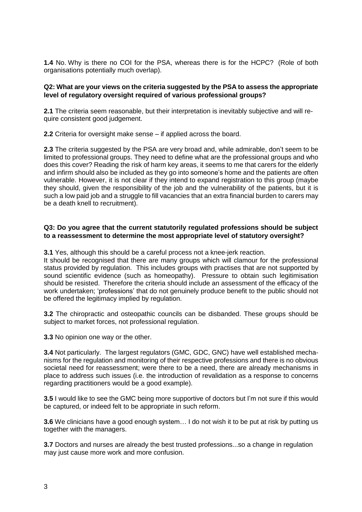**1.4** No. Why is there no COI for the PSA, whereas there is for the HCPC? (Role of both organisations potentially much overlap).

## **Q2: What are your views on the criteria suggested by the PSA to assess the appropriate level of regulatory oversight required of various professional groups?**

**2.1** The criteria seem reasonable, but their interpretation is inevitably subjective and will require consistent good judgement.

**2.2** Criteria for oversight make sense – if applied across the board.

**2.3** The criteria suggested by the PSA are very broad and, while admirable, don't seem to be limited to professional groups. They need to define what are the professional groups and who does this cover? Reading the risk of harm key areas, it seems to me that carers for the elderly and infirm should also be included as they go into someone's home and the patients are often vulnerable. However, it is not clear if they intend to expand registration to this group (maybe they should, given the responsibility of the job and the vulnerability of the patients, but it is such a low paid job and a struggle to fill vacancies that an extra financial burden to carers may be a death knell to recruitment).

#### **Q3: Do you agree that the current statutorily regulated professions should be subject to a reassessment to determine the most appropriate level of statutory oversight?**

**3.1** Yes, although this should be a careful process not a knee-jerk reaction.

It should be recognised that there are many groups which will clamour for the professional status provided by regulation. This includes groups with practises that are not supported by sound scientific evidence (such as homeopathy). Pressure to obtain such legitimisation should be resisted. Therefore the criteria should include an assessment of the efficacy of the work undertaken; 'professions' that do not genuinely produce benefit to the public should not be offered the legitimacy implied by regulation.

**3.2** The chiropractic and osteopathic councils can be disbanded. These groups should be subject to market forces, not professional regulation.

**3.3** No opinion one way or the other.

**3.4** Not particularly. The largest regulators (GMC, GDC, GNC) have well established mechanisms for the regulation and monitoring of their respective professions and there is no obvious societal need for reassessment; were there to be a need, there are already mechanisms in place to address such issues (i.e. the introduction of revalidation as a response to concerns regarding practitioners would be a good example).

**3.5** I would like to see the GMC being more supportive of doctors but I'm not sure if this would be captured, or indeed felt to be appropriate in such reform.

**3.6** We clinicians have a good enough system… I do not wish it to be put at risk by putting us together with the managers.

**3.7** Doctors and nurses are already the best trusted professions...so a change in regulation may just cause more work and more confusion.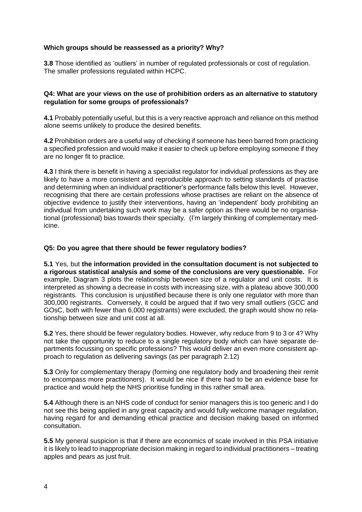## **Which groups should be reassessed as a priority? Why?**

**3.8** Those identified as 'outliers' in number of regulated professionals or cost of regulation. The smaller professions regulated within HCPC.

## **Q4: What are your views on the use of prohibition orders as an alternative to statutory regulation for some groups of professionals?**

**4.1** Probably potentially useful, but this is a very reactive approach and reliance on this method alone seems unlikely to produce the desired benefits.

**4.2** Prohibition orders are a useful way of checking if someone has been barred from practicing a specified profession and would make it easier to check up before employing someone if they are no longer fit to practice.

**4.3** I think there is benefit in having a specialist regulator for individual professions as they are likely to have a more consistent and reproducible approach to setting standards of practise and determining when an individual practitioner's performance falls below this level. However, recognising that there are certain professions whose practises are reliant on the absence of objective evidence to justify their interventions, having an 'independent' body prohibiting an individual from undertaking such work may be a safer option as there would be no organisational (professional) bias towards their specialty. (I'm largely thinking of complementary medicine.

## **Q5: Do you agree that there should be fewer regulatory bodies?**

**5.1** Yes, but **the information provided in the consultation document is not subjected to a rigorous statistical analysis and some of the conclusions are very questionable.** For example, Diagram 3 plots the relationship between size of a regulator and unit costs. It is interpreted as showing a decrease in costs with increasing size, with a plateau above 300,000 registrants. This conclusion is unjustified because there is only one regulator with more than 300,000 registrants. Conversely, it could be argued that if two very small outliers (GCC and GOsC, both with fewer than 6,000 registrants) were excluded, the graph would show no relationship between size and unit cost at all.

**5.2** Yes, there should be fewer regulatory bodies. However, why reduce from 9 to 3 or 4? Why not take the opportunity to reduce to a single regulatory body which can have separate departments focussing on specific professions? This would deliver an even more consistent approach to regulation as delivering savings (as per paragraph 2.12)

**5.3** Only for complementary therapy (forming one regulatory body and broadening their remit to encompass more practitioners). It would be nice if there had to be an evidence base for practice and would help the NHS prioritise funding in this rather small area.

**5.4** Although there is an NHS code of conduct for senior managers this is too generic and I do not see this being applied in any great capacity and would fully welcome manager regulation, having regard for and demanding ethical practice and decision making based on informed consultation.

**5.5** My general suspicion is that if there are economics of scale involved in this PSA initiative it is likely to lead to inappropriate decision making in regard to individual practitioners – treating apples and pears as just fruit.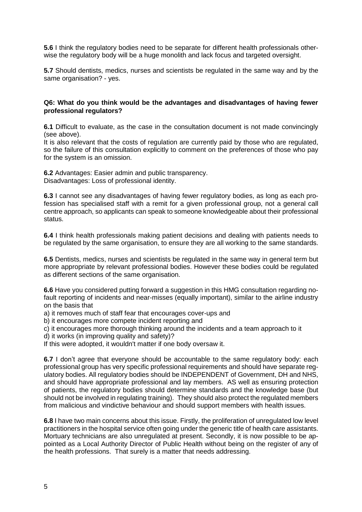**5.6** I think the regulatory bodies need to be separate for different health professionals otherwise the regulatory body will be a huge monolith and lack focus and targeted oversight.

**5.7** Should dentists, medics, nurses and scientists be regulated in the same way and by the same organisation? - yes.

#### **Q6: What do you think would be the advantages and disadvantages of having fewer professional regulators?**

**6.1** Difficult to evaluate, as the case in the consultation document is not made convincingly (see above).

It is also relevant that the costs of regulation are currently paid by those who are regulated, so the failure of this consultation explicitly to comment on the preferences of those who pay for the system is an omission.

**6.2** Advantages: Easier admin and public transparency. Disadvantages: Loss of professional identity.

**6.3** I cannot see any disadvantages of having fewer regulatory bodies, as long as each profession has specialised staff with a remit for a given professional group, not a general call centre approach, so applicants can speak to someone knowledgeable about their professional status.

**6.4** I think health professionals making patient decisions and dealing with patients needs to be regulated by the same organisation, to ensure they are all working to the same standards.

**6.5** Dentists, medics, nurses and scientists be regulated in the same way in general term but more appropriate by relevant professional bodies. However these bodies could be regulated as different sections of the same organisation.

**6.6** Have you considered putting forward a suggestion in this HMG consultation regarding nofault reporting of incidents and near-misses (equally important), similar to the airline industry on the basis that

a) it removes much of staff fear that encourages cover-ups and

b) it encourages more compete incident reporting and

c) it encourages more thorough thinking around the incidents and a team approach to it

d) it works (in improving quality and safety)?

If this were adopted, it wouldn't matter if one body oversaw it.

**6.7** I don't agree that everyone should be accountable to the same regulatory body: each professional group has very specific professional requirements and should have separate regulatory bodies. All regulatory bodies should be INDEPENDENT of Government, DH and NHS, and should have appropriate professional and lay members. AS well as ensuring protection of patients, the regulatory bodies should determine standards and the knowledge base (but should not be involved in regulating training). They should also protect the regulated members from malicious and vindictive behaviour and should support members with health issues.

**6.8** I have two main concerns about this issue. Firstly, the proliferation of unregulated low level practitioners in the hospital service often going under the generic title of health care assistants. Mortuary technicians are also unregulated at present. Secondly, it is now possible to be appointed as a Local Authority Director of Public Health without being on the register of any of the health professions. That surely is a matter that needs addressing.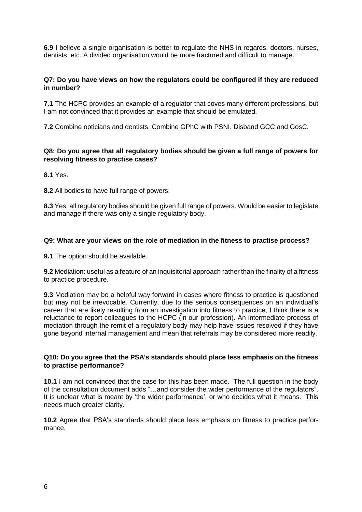**6.9** I believe a single organisation is better to regulate the NHS in regards, doctors, nurses, dentists, etc. A divided organisation would be more fractured and difficult to manage.

## **Q7: Do you have views on how the regulators could be configured if they are reduced in number?**

**7.1** The HCPC provides an example of a regulator that coves many different professions, but I am not convinced that it provides an example that should be emulated.

**7.2** Combine opticians and dentists. Combine GPhC with PSNI. Disband GCC and GosC.

## **Q8: Do you agree that all regulatory bodies should be given a full range of powers for resolving fitness to practise cases?**

**8.1** Yes.

**8.2** All bodies to have full range of powers.

**8.3** Yes, all regulatory bodies should be given full range of powers. Would be easier to legislate and manage if there was only a single regulatory body.

## **Q9: What are your views on the role of mediation in the fitness to practise process?**

**9.1** The option should be available.

**9.2** Mediation: useful as a feature of an inquisitorial approach rather than the finality of a fitness to practice procedure.

**9.3** Mediation may be a helpful way forward in cases where fitness to practice is questioned but may not be irrevocable. Currently, due to the serious consequences on an individual's career that are likely resulting from an investigation into fitness to practice, I think there is a reluctance to report colleagues to the HCPC (in our profession). An intermediate process of mediation through the remit of a regulatory body may help have issues resolved if they have gone beyond internal management and mean that referrals may be considered more readily.

## **Q10: Do you agree that the PSA's standards should place less emphasis on the fitness to practise performance?**

**10.1** I am not convinced that the case for this has been made. The full question in the body of the consultation document adds "…and consider the wider performance of the regulators". It is unclear what is meant by 'the wider performance', or who decides what it means. This needs much greater clarity.

**10.2** Agree that PSA's standards should place less emphasis on fitness to practice performance.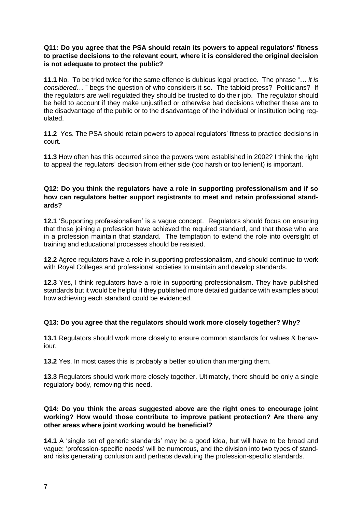## **Q11: Do you agree that the PSA should retain its powers to appeal regulators' fitness to practise decisions to the relevant court, where it is considered the original decision is not adequate to protect the public?**

**11.1** No. To be tried twice for the same offence is dubious legal practice. The phrase "… *it is considered*… " begs the question of who considers it so. The tabloid press? Politicians? If the regulators are well regulated they should be trusted to do their job. The regulator should be held to account if they make unjustified or otherwise bad decisions whether these are to the disadvantage of the public or to the disadvantage of the individual or institution being regulated.

**11.2** Yes. The PSA should retain powers to appeal regulators' fitness to practice decisions in court.

**11.3** How often has this occurred since the powers were established in 2002? I think the right to appeal the regulators' decision from either side (too harsh or too lenient) is important.

## **Q12: Do you think the regulators have a role in supporting professionalism and if so how can regulators better support registrants to meet and retain professional standards?**

**12.1** 'Supporting professionalism' is a vague concept. Regulators should focus on ensuring that those joining a profession have achieved the required standard, and that those who are in a profession maintain that standard. The temptation to extend the role into oversight of training and educational processes should be resisted.

**12.2** Agree regulators have a role in supporting professionalism, and should continue to work with Royal Colleges and professional societies to maintain and develop standards.

**12.3** Yes, I think regulators have a role in supporting professionalism. They have published standards but it would be helpful if they published more detailed guidance with examples about how achieving each standard could be evidenced.

## **Q13: Do you agree that the regulators should work more closely together? Why?**

**13.1** Regulators should work more closely to ensure common standards for values & behaviour.

**13.2** Yes. In most cases this is probably a better solution than merging them.

**13.3** Regulators should work more closely together. Ultimately, there should be only a single regulatory body, removing this need.

## **Q14: Do you think the areas suggested above are the right ones to encourage joint working? How would those contribute to improve patient protection? Are there any other areas where joint working would be beneficial?**

**14.1** A 'single set of generic standards' may be a good idea, but will have to be broad and vague; 'profession-specific needs' will be numerous, and the division into two types of standard risks generating confusion and perhaps devaluing the profession-specific standards.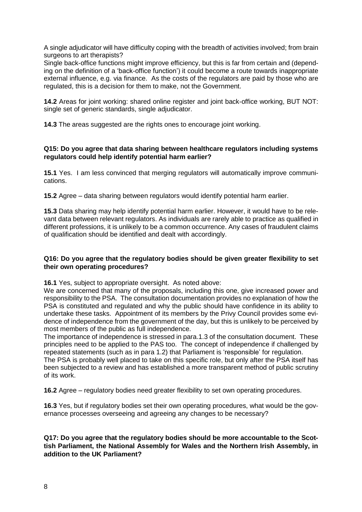A single adjudicator will have difficulty coping with the breadth of activities involved; from brain surgeons to art therapists?

Single back-office functions might improve efficiency, but this is far from certain and (depending on the definition of a 'back-office function') it could become a route towards inappropriate external influence, e.g. via finance. As the costs of the regulators are paid by those who are regulated, this is a decision for them to make, not the Government.

**14.2** Areas for joint working: shared online register and joint back-office working, BUT NOT: single set of generic standards, single adjudicator.

**14.3** The areas suggested are the rights ones to encourage joint working.

## **Q15: Do you agree that data sharing between healthcare regulators including systems regulators could help identify potential harm earlier?**

**15.1** Yes. I am less convinced that merging regulators will automatically improve communications.

**15.2** Agree – data sharing between regulators would identify potential harm earlier.

**15.3** Data sharing may help identify potential harm earlier. However, it would have to be relevant data between relevant regulators. As individuals are rarely able to practice as qualified in different professions, it is unlikely to be a common occurrence. Any cases of fraudulent claims of qualification should be identified and dealt with accordingly.

## **Q16: Do you agree that the regulatory bodies should be given greater flexibility to set their own operating procedures?**

**16.1** Yes, subject to appropriate oversight. As noted above:

We are concerned that many of the proposals, including this one, give increased power and responsibility to the PSA. The consultation documentation provides no explanation of how the PSA is constituted and regulated and why the public should have confidence in its ability to undertake these tasks. Appointment of its members by the Privy Council provides some evidence of independence from the government of the day, but this is unlikely to be perceived by most members of the public as full independence.

The importance of independence is stressed in para.1.3 of the consultation document. These principles need to be applied to the PAS too. The concept of independence if challenged by repeated statements (such as in para 1.2) that Parliament is 'responsible' for regulation.

The PSA is probably well placed to take on this specific role, but only after the PSA itself has been subjected to a review and has established a more transparent method of public scrutiny of its work.

**16.2** Agree – regulatory bodies need greater flexibility to set own operating procedures.

**16.3** Yes, but if regulatory bodies set their own operating procedures, what would be the governance processes overseeing and agreeing any changes to be necessary?

## **Q17: Do you agree that the regulatory bodies should be more accountable to the Scottish Parliament, the National Assembly for Wales and the Northern Irish Assembly, in addition to the UK Parliament?**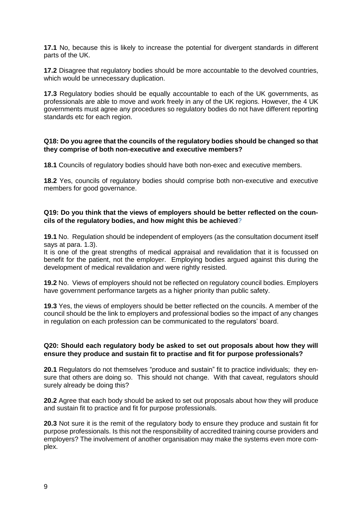**17.1** No, because this is likely to increase the potential for divergent standards in different parts of the UK.

**17.2** Disagree that regulatory bodies should be more accountable to the devolved countries, which would be unnecessary duplication.

**17.3** Regulatory bodies should be equally accountable to each of the UK governments, as professionals are able to move and work freely in any of the UK regions. However, the 4 UK governments must agree any procedures so regulatory bodies do not have different reporting standards etc for each region.

#### **Q18: Do you agree that the councils of the regulatory bodies should be changed so that they comprise of both non-executive and executive members?**

**18.1** Councils of regulatory bodies should have both non-exec and executive members.

**18.2** Yes, councils of regulatory bodies should comprise both non-executive and executive members for good governance.

## **Q19: Do you think that the views of employers should be better reflected on the councils of the regulatory bodies, and how might this be achieved**?

**19.1** No. Regulation should be independent of employers (as the consultation document itself says at para. 1.3).

It is one of the great strengths of medical appraisal and revalidation that it is focussed on benefit for the patient, not the employer. Employing bodies argued against this during the development of medical revalidation and were rightly resisted.

**19.2** No. Views of employers should not be reflected on regulatory council bodies. Employers have government performance targets as a higher priority than public safety.

**19.3** Yes, the views of employers should be better reflected on the councils. A member of the council should be the link to employers and professional bodies so the impact of any changes in regulation on each profession can be communicated to the regulators' board.

## **Q20: Should each regulatory body be asked to set out proposals about how they will ensure they produce and sustain fit to practise and fit for purpose professionals?**

**20.1** Regulators do not themselves "produce and sustain" fit to practice individuals; they ensure that others are doing so. This should not change. With that caveat, regulators should surely already be doing this?

**20.2** Agree that each body should be asked to set out proposals about how they will produce and sustain fit to practice and fit for purpose professionals.

**20.3** Not sure it is the remit of the regulatory body to ensure they produce and sustain fit for purpose professionals. Is this not the responsibility of accredited training course providers and employers? The involvement of another organisation may make the systems even more complex.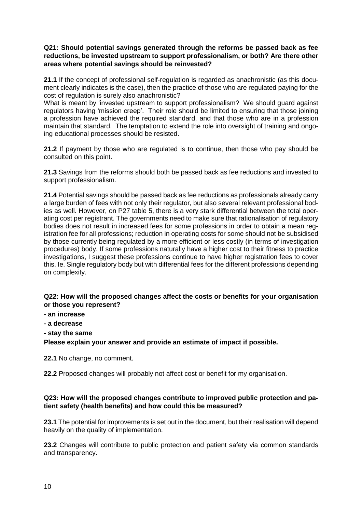## **Q21: Should potential savings generated through the reforms be passed back as fee reductions, be invested upstream to support professionalism, or both? Are there other areas where potential savings should be reinvested?**

**21.1** If the concept of professional self-regulation is regarded as anachronistic (as this document clearly indicates is the case), then the practice of those who are regulated paying for the cost of regulation is surely also anachronistic?

What is meant by 'invested upstream to support professionalism? We should guard against regulators having 'mission creep'. Their role should be limited to ensuring that those joining a profession have achieved the required standard, and that those who are in a profession maintain that standard. The temptation to extend the role into oversight of training and ongoing educational processes should be resisted.

**21.2** If payment by those who are regulated is to continue, then those who pay should be consulted on this point.

**21.3** Savings from the reforms should both be passed back as fee reductions and invested to support professionalism.

**21.4** Potential savings should be passed back as fee reductions as professionals already carry a large burden of fees with not only their regulator, but also several relevant professional bodies as well. However, on P27 table 5, there is a very stark differential between the total operating cost per registrant. The governments need to make sure that rationalisation of regulatory bodies does not result in increased fees for some professions in order to obtain a mean registration fee for all professions; reduction in operating costs for some should not be subsidised by those currently being regulated by a more efficient or less costly (in terms of investigation procedures) body. If some professions naturally have a higher cost to their fitness to practice investigations, I suggest these professions continue to have higher registration fees to cover this. Ie. Single regulatory body but with differential fees for the different professions depending on complexity.

## **Q22: How will the proposed changes affect the costs or benefits for your organisation or those you represent?**

- **- an increase**
- **- a decrease**
- **- stay the same**

**Please explain your answer and provide an estimate of impact if possible.** 

**22.1** No change, no comment.

**22.2** Proposed changes will probably not affect cost or benefit for my organisation.

## **Q23: How will the proposed changes contribute to improved public protection and patient safety (health benefits) and how could this be measured?**

**23.1** The potential for improvements is set out in the document, but their realisation will depend heavily on the quality of implementation.

**23.2** Changes will contribute to public protection and patient safety via common standards and transparency.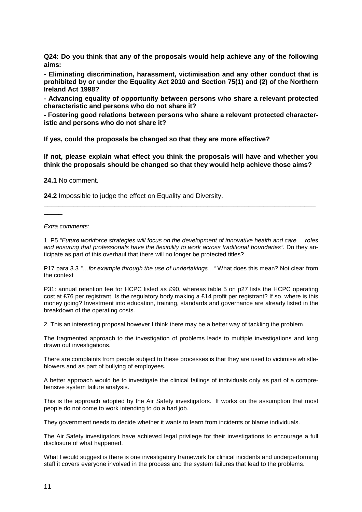**Q24: Do you think that any of the proposals would help achieve any of the following aims:** 

**- Eliminating discrimination, harassment, victimisation and any other conduct that is prohibited by or under the Equality Act 2010 and Section 75(1) and (2) of the Northern Ireland Act 1998?**

**- Advancing equality of opportunity between persons who share a relevant protected characteristic and persons who do not share it?**

**- Fostering good relations between persons who share a relevant protected characteristic and persons who do not share it?**

**If yes, could the proposals be changed so that they are more effective?** 

**If not, please explain what effect you think the proposals will have and whether you think the proposals should be changed so that they would help achieve those aims?**

**24.1** No comment.

**24.2** Impossible to judge the effect on Equality and Diversity.

*Extra comments:*

 $\overline{\phantom{a}}$ 

1. P5 *"Future workforce strategies will focus on the development of innovative health and care roles and ensuring that professionals have the flexibility to work across traditional boundaries".* Do they anticipate as part of this overhaul that there will no longer be protected titles?

\_\_\_\_\_\_\_\_\_\_\_\_\_\_\_\_\_\_\_\_\_\_\_\_\_\_\_\_\_\_\_\_\_\_\_\_\_\_\_\_\_\_\_\_\_\_\_\_\_\_\_\_\_\_\_\_\_\_\_\_\_\_\_\_\_\_\_\_\_\_\_\_\_

P17 para 3.3 *"…for example through the use of undertakings…"* What does this mean? Not clear from the context

P31: annual retention fee for HCPC listed as £90, whereas table 5 on p27 lists the HCPC operating cost at £76 per registrant. Is the regulatory body making a £14 profit per registrant? If so, where is this money going? Investment into education, training, standards and governance are already listed in the breakdown of the operating costs.

2. This an interesting proposal however I think there may be a better way of tackling the problem.

The fragmented approach to the investigation of problems leads to multiple investigations and long drawn out investigations.

There are complaints from people subject to these processes is that they are used to victimise whistleblowers and as part of bullying of employees.

A better approach would be to investigate the clinical failings of individuals only as part of a comprehensive system failure analysis.

This is the approach adopted by the Air Safety investigators. It works on the assumption that most people do not come to work intending to do a bad job.

They government needs to decide whether it wants to learn from incidents or blame individuals.

The Air Safety investigators have achieved legal privilege for their investigations to encourage a full disclosure of what happened.

What I would suggest is there is one investigatory framework for clinical incidents and underperforming staff it covers everyone involved in the process and the system failures that lead to the problems.